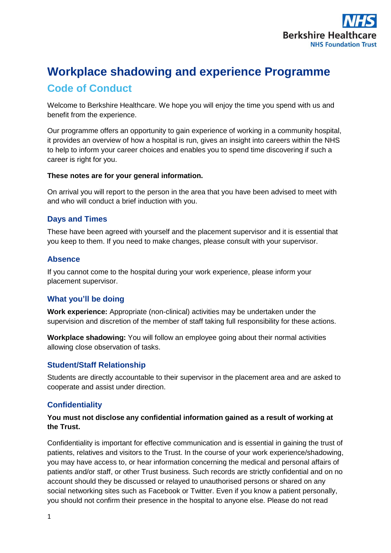

# **Workplace shadowing and experience Programme**

# **Code of Conduct**

Welcome to Berkshire Healthcare. We hope you will enjoy the time you spend with us and benefit from the experience.

Our programme offers an opportunity to gain experience of working in a community hospital, it provides an overview of how a hospital is run, gives an insight into careers within the NHS to help to inform your career choices and enables you to spend time discovering if such a career is right for you.

#### **These notes are for your general information.**

On arrival you will report to the person in the area that you have been advised to meet with and who will conduct a brief induction with you.

## **Days and Times**

These have been agreed with yourself and the placement supervisor and it is essential that you keep to them. If you need to make changes, please consult with your supervisor.

# **Absence**

If you cannot come to the hospital during your work experience, please inform your placement supervisor.

# **What you'll be doing**

**Work experience:** Appropriate (non-clinical) activities may be undertaken under the supervision and discretion of the member of staff taking full responsibility for these actions.

**Workplace shadowing:** You will follow an employee going about their normal activities allowing close observation of tasks.

# **Student/Staff Relationship**

Students are directly accountable to their supervisor in the placement area and are asked to cooperate and assist under direction.

# **Confidentiality**

## **You must not disclose any confidential information gained as a result of working at the Trust.**

Confidentiality is important for effective communication and is essential in gaining the trust of patients, relatives and visitors to the Trust. In the course of your work experience/shadowing, you may have access to, or hear information concerning the medical and personal affairs of patients and/or staff, or other Trust business. Such records are strictly confidential and on no account should they be discussed or relayed to unauthorised persons or shared on any social networking sites such as Facebook or Twitter. Even if you know a patient personally, you should not confirm their presence in the hospital to anyone else. Please do not read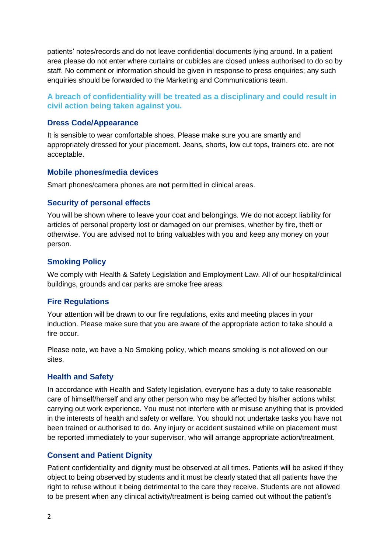patients' notes/records and do not leave confidential documents lying around. In a patient area please do not enter where curtains or cubicles are closed unless authorised to do so by staff. No comment or information should be given in response to press enquiries; any such enquiries should be forwarded to the Marketing and Communications team.

**A breach of confidentiality will be treated as a disciplinary and could result in civil action being taken against you.**

#### **Dress Code/Appearance**

It is sensible to wear comfortable shoes. Please make sure you are smartly and appropriately dressed for your placement. Jeans, shorts, low cut tops, trainers etc. are not acceptable.

#### **Mobile phones/media devices**

Smart phones/camera phones are **not** permitted in clinical areas.

#### **Security of personal effects**

You will be shown where to leave your coat and belongings. We do not accept liability for articles of personal property lost or damaged on our premises, whether by fire, theft or otherwise. You are advised not to bring valuables with you and keep any money on your person.

#### **Smoking Policy**

We comply with Health & Safety Legislation and Employment Law. All of our hospital/clinical buildings, grounds and car parks are smoke free areas.

#### **Fire Regulations**

Your attention will be drawn to our fire regulations, exits and meeting places in your induction. Please make sure that you are aware of the appropriate action to take should a fire occur.

Please note, we have a No Smoking policy, which means smoking is not allowed on our sites.

#### **Health and Safety**

In accordance with Health and Safety legislation, everyone has a duty to take reasonable care of himself/herself and any other person who may be affected by his/her actions whilst carrying out work experience. You must not interfere with or misuse anything that is provided in the interests of health and safety or welfare. You should not undertake tasks you have not been trained or authorised to do. Any injury or accident sustained while on placement must be reported immediately to your supervisor, who will arrange appropriate action/treatment.

#### **Consent and Patient Dignity**

Patient confidentiality and dignity must be observed at all times. Patients will be asked if they object to being observed by students and it must be clearly stated that all patients have the right to refuse without it being detrimental to the care they receive. Students are not allowed to be present when any clinical activity/treatment is being carried out without the patient's